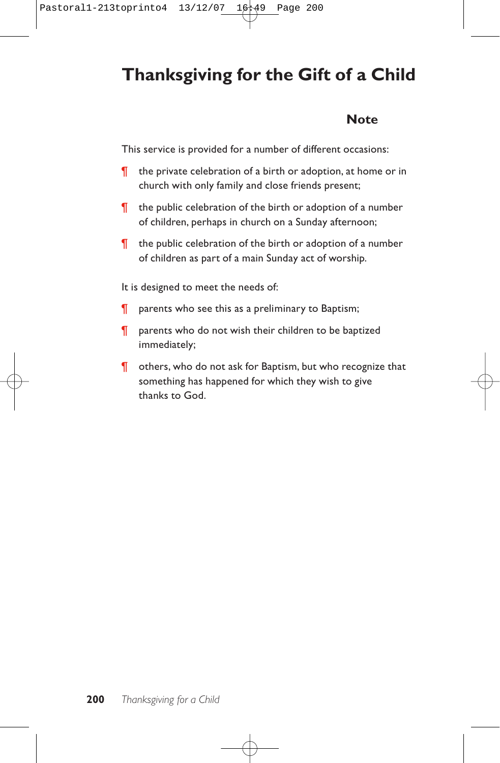# **Thanksgiving for the Gift of a Child**

### **Note**

This service is provided for a number of different occasions:

- ¶ the private celebration of a birth or adoption, at home or in church with only family and close friends present;
- ¶ the public celebration of the birth or adoption of a number of children, perhaps in church on a Sunday afternoon;
- ¶ the public celebration of the birth or adoption of a number of children as part of a main Sunday act of worship.

It is designed to meet the needs of:

- **T** parents who see this as a preliminary to Baptism;
- ¶ parents who do not wish their children to be baptized immediately;
- ¶ others, who do not ask for Baptism, but who recognize that something has happened for which they wish to give thanks to God.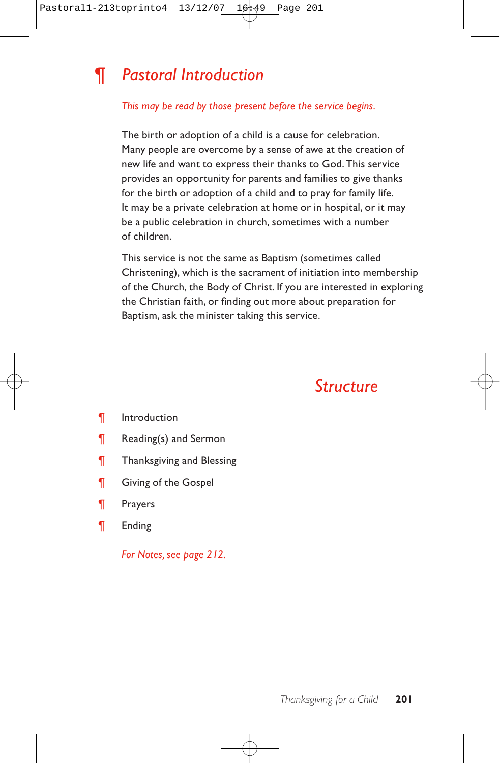# *¶ Pastoral Introduction*

### *This may be read by those present before the service begins.*

The birth or adoption of a child is a cause for celebration. Many people are overcome by a sense of awe at the creation of new life and want to express their thanks to God. This service provides an opportunity for parents and families to give thanks for the birth or adoption of a child and to pray for family life. It may be a private celebration at home or in hospital, or it may be a public celebration in church, sometimes with a number of children.

This service is not the same as Baptism (sometimes called Christening), which is the sacrament of initiation into membership of the Church, the Body of Christ. If you are interested in exploring the Christian faith, or finding out more about preparation for Baptism, ask the minister taking this service.

## *Structure*

- ¶ Introduction
- ¶ Reading(s) and Sermon
- ¶ Thanksgiving and Blessing
- ¶ Giving of the Gospel
- ¶ Prayers
- ¶ Ending

*For Notes, see page 212.*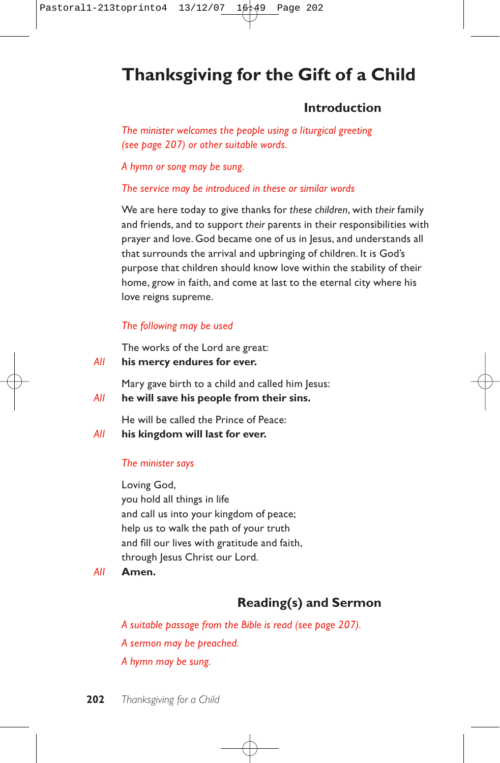# **Thanksgiving for the Gift of a Child**

### **Introduction**

*The minister welcomes the people using a liturgical greeting (see page 207) or other suitable words.*

*A hymn or song may be sung.*

*The service may be introduced in these or similar words*

We are here today to give thanks for *these children*, with *their* family and friends, and to support *their* parents in their responsibilities with prayer and love. God became one of us in Jesus, and understands all that surrounds the arrival and upbringing of children. It is God's purpose that children should know love within the stability of their home, grow in faith, and come at last to the eternal city where his love reigns supreme.

### *The following may be used*

The works of the Lord are great:

*All* **his mercy endures for ever.**

Mary gave birth to a child and called him Jesus:

*All* **he will save his people from their sins.**

He will be called the Prince of Peace:

*All* **his kingdom will last for ever.**

### *The minister says*

Loving God, you hold all things in life and call us into your kingdom of peace; help us to walk the path of your truth and fill our lives with gratitude and faith, through Jesus Christ our Lord.

*All* **Amen.**

## **Reading(s) and Sermon**

*A suitable passage from the Bible is read (see page 207). A sermon may be preached. A hymn may be sung.*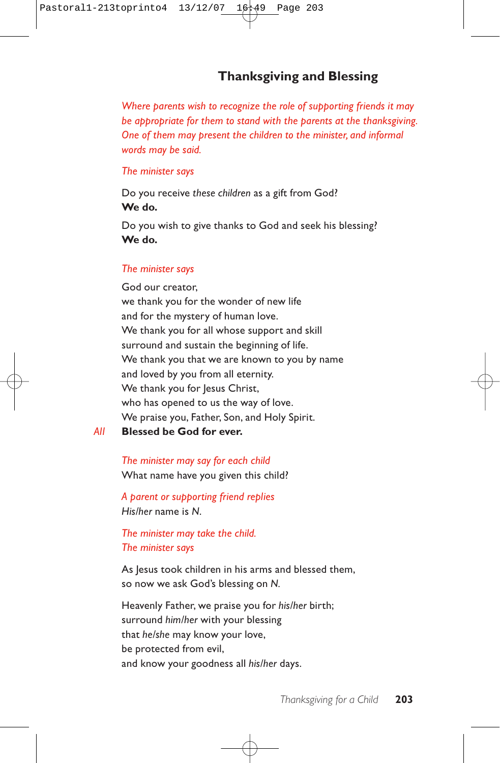## **Thanksgiving and Blessing**

*Where parents wish to recognize the role of supporting friends it may be appropriate for them to stand with the parents at the thanksgiving. One of them may present the children to the minister, and informal words may be said.*

#### *The minister says*

Do you receive *these children* as a gift from God? **We do.**

Do you wish to give thanks to God and seek his blessing? **We do.**

#### *The minister says*

God our creator, we thank you for the wonder of new life and for the mystery of human love. We thank you for all whose support and skill surround and sustain the beginning of life. We thank you that we are known to you by name and loved by you from all eternity. We thank you for Jesus Christ, who has opened to us the way of love. We praise you, Father, Son, and Holy Spirit.

*All* **Blessed be God for ever.**

*The minister may say for each child* What name have you given this child?

*A parent or supporting friend replies His/her* name is *N*.

*The minister may take the child. The minister says*

As Jesus took children in his arms and blessed them, so now we ask God's blessing on *N.*

Heavenly Father, we praise you for *his/her* birth; surround *him/her* with your blessing that *he/she* may know your love, be protected from evil, and know your goodness all *his/her* days.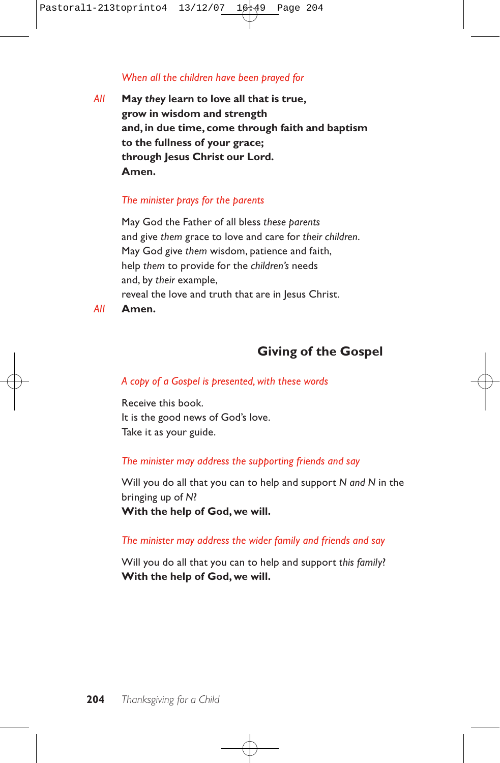### *When all the children have been prayed for*

*All* **May** *they* **learn to love all that is true, grow in wisdom and strength and, in due time, come through faith and baptism to the fullness of your grace; through Jesus Christ our Lord. Amen.**

### *The minister prays for the parents*

May God the Father of all bless *these parents* and give *them* grace to love and care for *their children*. May God give *them* wisdom, patience and faith, help *them* to provide for the *children's* needs and, by *their* example, reveal the love and truth that are in Jesus Christ.

*All* **Amen.**

## **Giving of the Gospel**

### *A copy of a Gospel is presented, with these words*

Receive this book. It is the good news of God's love. Take it as your guide.

### *The minister may address the supporting friends and say*

Will you do all that you can to help and support *N and N* in the bringing up of *N*? **With the help of God, we will.**

### *The minister may address the wider family and friends and say*

Will you do all that you can to help and support *this family*? **With the help of God,we will.**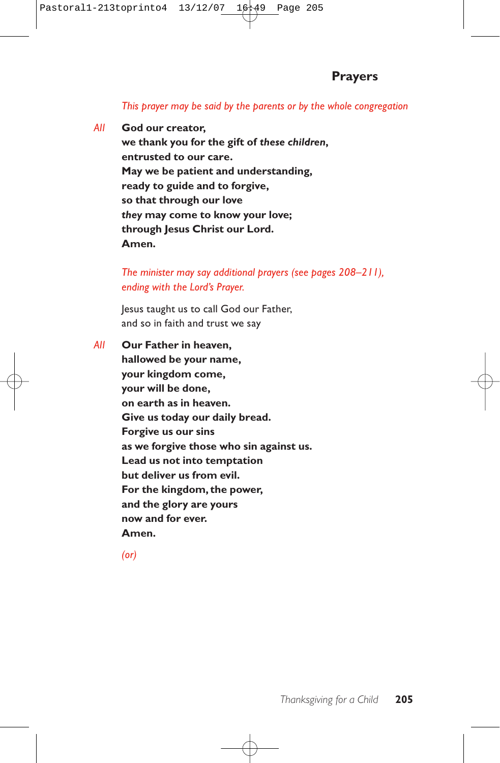### *This prayer may be said by the parents or by the whole congregation*

*All* **God our creator, we thank you for the gift of** *these children***, entrusted to our care. May we be patient and understanding, ready to guide and to forgive, so that through our love** *they* **may come to know your love; through Jesus Christ our Lord. Amen.**

> *The minister may say additional prayers (see pages 208–211), ending with the Lord's Prayer.*

Jesus taught us to call God our Father, and so in faith and trust we say

*All* **Our Father in heaven, hallowed be your name, your kingdom come, your will be done, on earth as in heaven. Give us today our daily bread. Forgive us our sins as we forgive those who sin against us. Lead us not into temptation but deliver us from evil. For the kingdom, the power, and the glory are yours now and for ever. Amen.**

*(or)*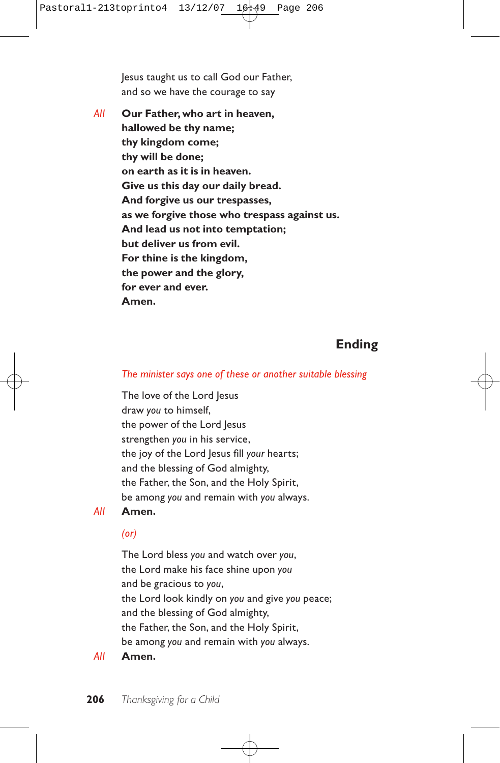Jesus taught us to call God our Father, and so we have the courage to say

*All* **Our Father, who art in heaven, hallowed be thy name; thy kingdom come; thy will be done; on earth as it is in heaven. Give us this day our daily bread. And forgive us our trespasses, as we forgive those who trespass against us. And lead us not into temptation; but deliver us from evil. For thine is the kingdom, the power and the glory, for ever and ever. Amen.**

## **Ending**

### *The minister says one of these or another suitable blessing*

The love of the Lord Jesus draw *you* to himself, the power of the Lord Jesus strengthen *you* in his service, the joy of the Lord Jesus fill *your* hearts; and the blessing of God almighty, the Father, the Son, and the Holy Spirit, be among *you* and remain with *you* always.

*All* **Amen.**

### *(or)*

The Lord bless *you* and watch over *you*, the Lord make his face shine upon *you* and be gracious to *you*, the Lord look kindly on *you* and give *you* peace; and the blessing of God almighty, the Father, the Son, and the Holy Spirit, be among *you* and remain with *you* always.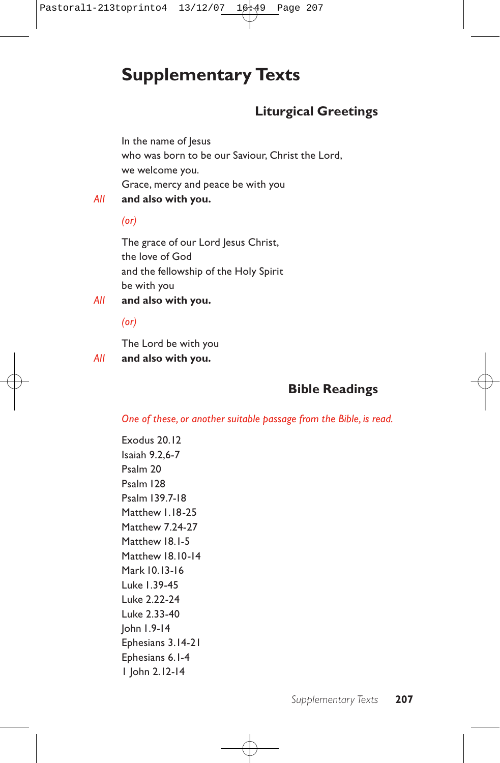## **Supplementary Texts**

## **Liturgical Greetings**

In the name of Jesus who was born to be our Saviour, Christ the Lord, we welcome you. Grace, mercy and peace be with you

*All* **and also with you.**

*(or)*

The grace of our Lord Jesus Christ, the love of God and the fellowship of the Holy Spirit be with you

*All* **and also with you.**

*(or)*

The Lord be with you

*All* **and also with you.**

## **Bible Readings**

*One of these, or another suitable passage from the Bible, is read.*

Exodus 20.12 Isaiah 9.2,6-7 Psalm 20 Psalm 128 Psalm 139.7-18 Matthew 1.18-25 Matthew 7.24-27 Matthew 18.1-5 Matthew 18.10-14 Mark 10.13-16 Luke 1.39-45 Luke 2.22-24 Luke 2.33-40 John 1.9-14 Ephesians 3.14-21 Ephesians 6.1-4 1 John 2.12-14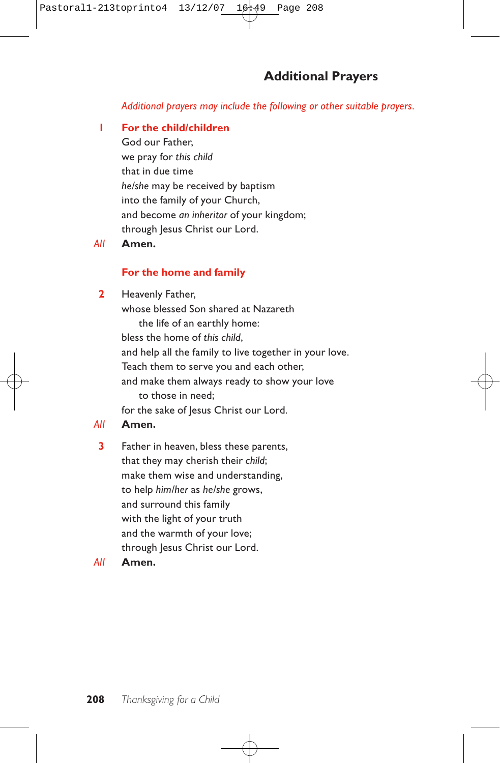*Additional prayers may include the following or other suitable prayers.*

### **1 For the child/children**

God our Father, we pray for *this child* that in due time *he/she* may be received by baptism into the family of your Church, and become *an inheritor* of your kingdom; through Jesus Christ our Lord.

### *All* **Amen.**

### **For the home and family**

**2** Heavenly Father, whose blessed Son shared at Nazareth the life of an earthly home: bless the home of *this child*, and help all the family to live together in your love. Teach them to serve you and each other, and make them always ready to show your love to those in need; for the sake of Jesus Christ our Lord.

### *All* **Amen.**

**3** Father in heaven, bless these parents, that they may cherish their *child*; make them wise and understanding, to help *him/her* as *he/she* grows, and surround this family with the light of your truth and the warmth of your love; through Jesus Christ our Lord.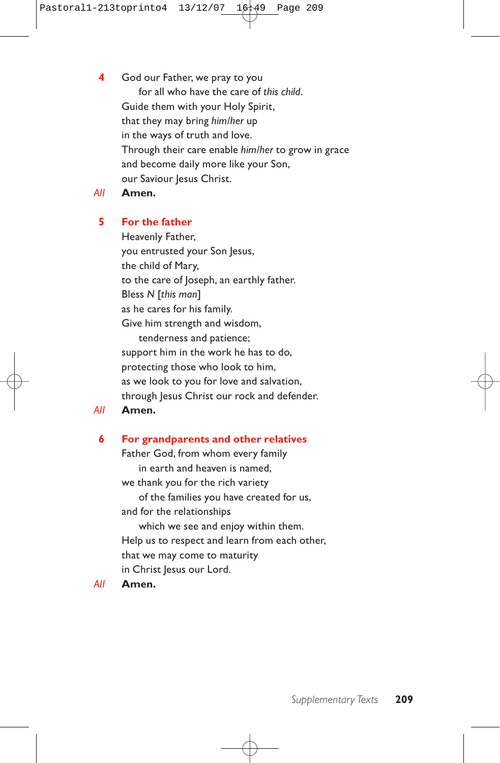**4** God our Father, we pray to you for all who have the care of *this child*. Guide them with your Holy Spirit, that they may bring *him/her* up in the ways of truth and love. Through their care enable *him/her* to grow in grace and become daily more like your Son, our Saviour Jesus Christ.

*All* **Amen.**

### **5 For the father**

Heavenly Father, you entrusted your Son Jesus, the child of Mary, to the care of Joseph, an earthly father. Bless *N* [*this man*] as he cares for his family. Give him strength and wisdom, tenderness and patience; support him in the work he has to do, protecting those who look to him, as we look to you for love and salvation, through Jesus Christ our rock and defender.

*All* **Amen.**

### **6 For grandparents and other relatives**

Father God, from whom every family in earth and heaven is named, we thank you for the rich variety of the families you have created for us, and for the relationships which we see and enjoy within them. Help us to respect and learn from each other, that we may come to maturity in Christ Jesus our Lord.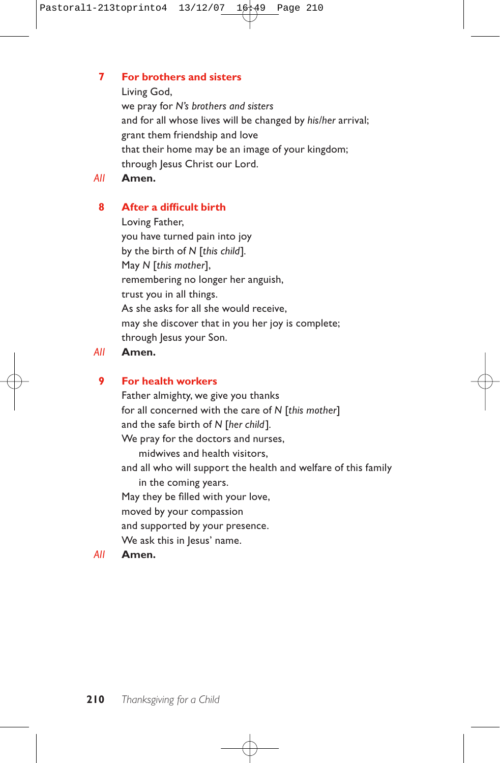### **7 For brothers and sisters**

Living God,

we pray for *N's brothers and sisters* and for all whose lives will be changed by *his/her* arrival; grant them friendship and love that their home may be an image of your kingdom; through Jesus Christ our Lord.

*All* **Amen.**

### **8 After a difficult birth**

Loving Father, you have turned pain into joy by the birth of *N* [*this child*]*.* May *N* [*this mother*], remembering no longer her anguish, trust you in all things. As she asks for all she would receive, may she discover that in you her joy is complete; through Jesus your Son.

### *All* **Amen.**

### **9 For health workers**

Father almighty, we give you thanks for all concerned with the care of *N* [*this mother*] and the safe birth of *N* [*her child*]*.* We pray for the doctors and nurses, midwives and health visitors, and all who will support the health and welfare of this family in the coming years. May they be filled with your love, moved by your compassion and supported by your presence. We ask this in Jesus' name.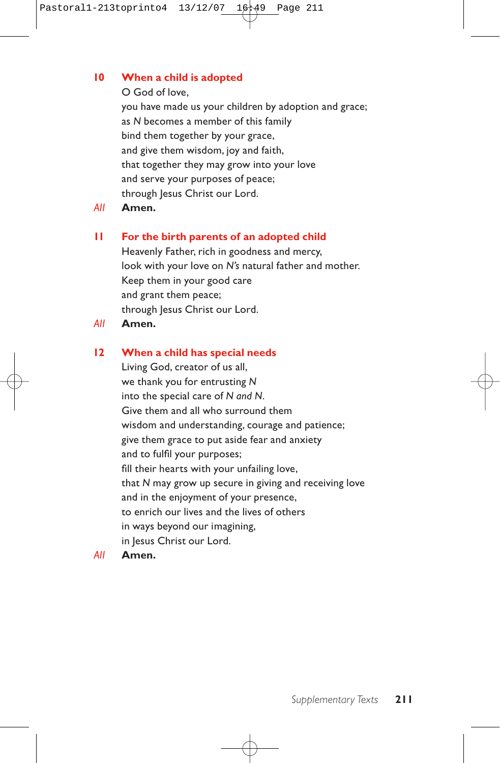### **10 When a child is adopted**

### O God of love,

you have made us your children by adoption and grace; as *N* becomes a member of this family bind them together by your grace, and give them wisdom, joy and faith, that together they may grow into your love and serve your purposes of peace; through Jesus Christ our Lord.

*All* **Amen.**

### **11 For the birth parents of an adopted child**

Heavenly Father, rich in goodness and mercy, look with your love on *N's* natural father and mother. Keep them in your good care and grant them peace; through Jesus Christ our Lord.

*All* **Amen.**

### **12 When a child has special needs**

Living God, creator of us all, we thank you for entrusting *N* into the special care of *N and N*. Give them and all who surround them wisdom and understanding, courage and patience; give them grace to put aside fear and anxiety and to fulfil your purposes; fill their hearts with your unfailing love, that *N* may grow up secure in giving and receiving love and in the enjoyment of your presence, to enrich our lives and the lives of others in ways beyond our imagining, in Jesus Christ our Lord.